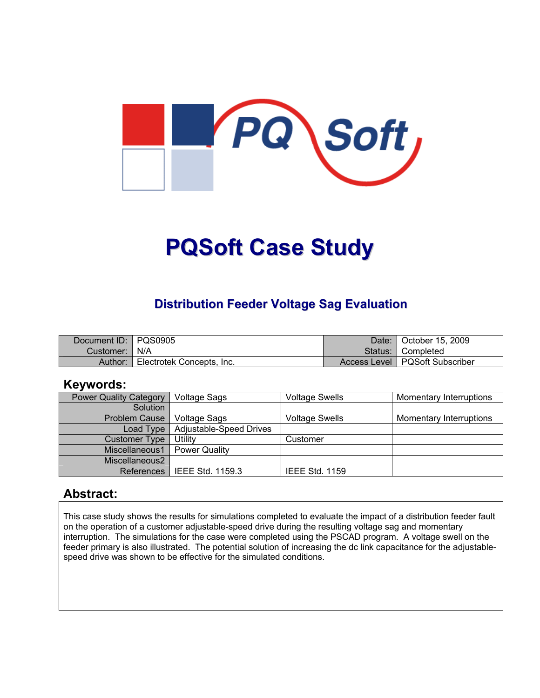

# **PQSoft Case Study**

## **Distribution Feeder Voltage Sag Evaluation**

| Document ID:   PQS0905 |                           | Date: | October 15, 2009                 |
|------------------------|---------------------------|-------|----------------------------------|
| Customer:   N/A        |                           |       | Status: Completed                |
| Author:                | Electrotek Concepts, Inc. |       | Access Level   PQSoft Subscriber |

#### **Keywords:**

| <b>Power Quality Category</b> | <b>Voltage Sags</b>     | <b>Voltage Swells</b> | Momentary Interruptions |
|-------------------------------|-------------------------|-----------------------|-------------------------|
| Solution                      |                         |                       |                         |
| <b>Problem Cause</b>          | <b>Voltage Sags</b>     | <b>Voltage Swells</b> | Momentary Interruptions |
| Load Type                     | Adjustable-Speed Drives |                       |                         |
| Customer Type                 | Utility                 | Customer              |                         |
| Miscellaneous1                | <b>Power Quality</b>    |                       |                         |
| Miscellaneous2                |                         |                       |                         |
| <b>References</b>             | l IEEE Std. 1159.3      | <b>IEEE Std. 1159</b> |                         |

#### **Abstract:**

This case study shows the results for simulations completed to evaluate the impact of a distribution feeder fault on the operation of a customer adjustable-speed drive during the resulting voltage sag and momentary interruption. The simulations for the case were completed using the PSCAD program. A voltage swell on the feeder primary is also illustrated. The potential solution of increasing the dc link capacitance for the adjustablespeed drive was shown to be effective for the simulated conditions.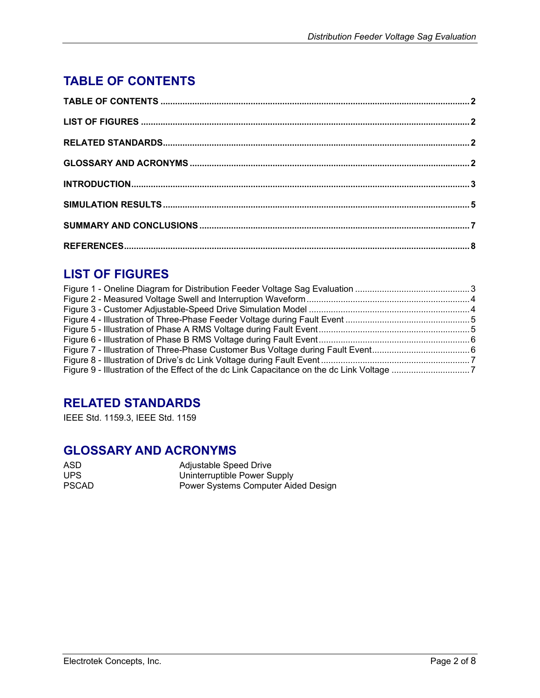# <span id="page-1-0"></span>**TABLE OF CONTENTS**

## **LIST OF FIGURES**

## **RELATED STANDARDS**

IEEE Std. 1159.3, IEEE Std. 1159

## **GLOSSARY AND ACRONYMS**

| ASD.         | Adjustable Speed Drive              |
|--------------|-------------------------------------|
| UPS.         | Uninterruptible Power Supply        |
| <b>PSCAD</b> | Power Systems Computer Aided Design |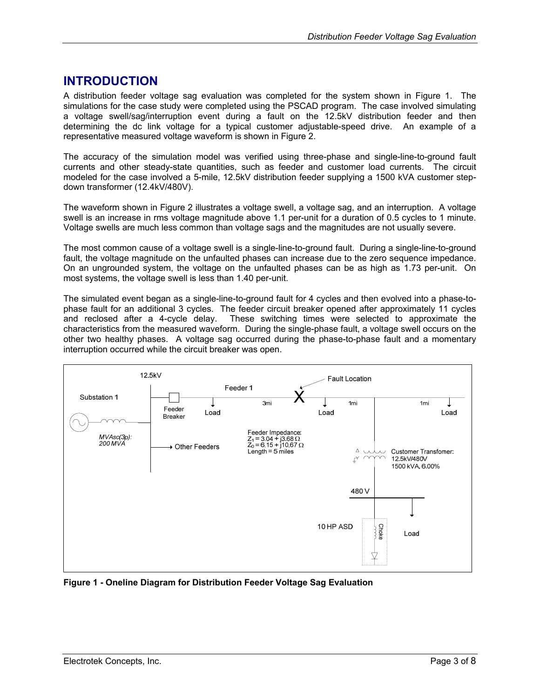#### <span id="page-2-0"></span>**INTRODUCTION**

A distribution feeder voltage sag evaluation was completed for the system shown in [Figure 1.](#page-2-1) The simulations for the case study were completed using the PSCAD program. The case involved simulating a voltage swell/sag/interruption event during a fault on the 12.5kV distribution feeder and then determining the dc link voltage for a typical customer adjustable-speed drive. An example of a representative measured voltage waveform is shown in [Figure 2.](#page-3-1)

The accuracy of the simulation model was verified using three-phase and single-line-to-ground fault currents and other steady-state quantities, such as feeder and customer load currents. The circuit modeled for the case involved a 5-mile, 12.5kV distribution feeder supplying a 1500 kVA customer stepdown transformer (12.4kV/480V).

The waveform shown in [Figure 2](#page-3-1) illustrates a voltage swell, a voltage sag, and an interruption. A voltage swell is an increase in rms voltage magnitude above 1.1 per-unit for a duration of 0.5 cycles to 1 minute. Voltage swells are much less common than voltage sags and the magnitudes are not usually severe.

The most common cause of a voltage swell is a single-line-to-ground fault. During a single-line-to-ground fault, the voltage magnitude on the unfaulted phases can increase due to the zero sequence impedance. On an ungrounded system, the voltage on the unfaulted phases can be as high as 1.73 per-unit. On most systems, the voltage swell is less than 1.40 per-unit.

The simulated event began as a single-line-to-ground fault for 4 cycles and then evolved into a phase-tophase fault for an additional 3 cycles. The feeder circuit breaker opened after approximately 11 cycles and reclosed after a 4-cycle delay. These switching times were selected to approximate the characteristics from the measured waveform. During the single-phase fault, a voltage swell occurs on the other two healthy phases. A voltage sag occurred during the phase-to-phase fault and a momentary interruption occurred while the circuit breaker was open.

<span id="page-2-1"></span>

**Figure 1 - Oneline Diagram for Distribution Feeder Voltage Sag Evaluation**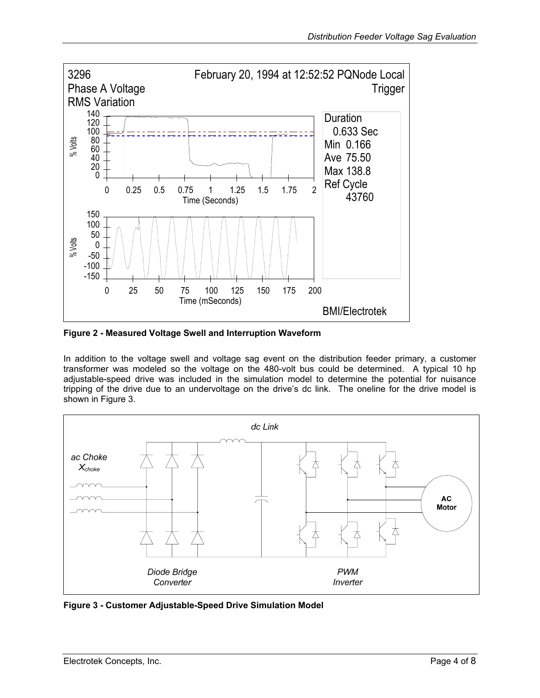<span id="page-3-1"></span><span id="page-3-0"></span>

**Figure 2 - Measured Voltage Swell and Interruption Waveform** 

In addition to the voltage swell and voltage sag event on the distribution feeder primary, a customer transformer was modeled so the voltage on the 480-volt bus could be determined. A typical 10 hp adjustable-speed drive was included in the simulation model to determine the potential for nuisance tripping of the drive due to an undervoltage on the drive's dc link. The oneline for the drive model is shown in [Figure 3.](#page-3-2)

<span id="page-3-2"></span>

**Figure 3 - Customer Adjustable-Speed Drive Simulation Model**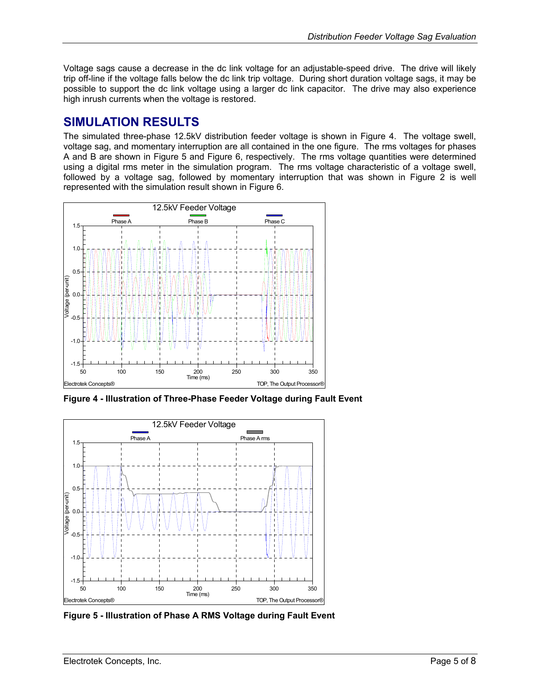<span id="page-4-0"></span>Voltage sags cause a decrease in the dc link voltage for an adjustable-speed drive. The drive will likely trip off-line if the voltage falls below the dc link trip voltage. During short duration voltage sags, it may be possible to support the dc link voltage using a larger dc link capacitor. The drive may also experience high inrush currents when the voltage is restored.

## **SIMULATION RESULTS**

The simulated three-phase 12.5kV distribution feeder voltage is shown in [Figure 4.](#page-4-1) The voltage swell, voltage sag, and momentary interruption are all contained in the one figure. The rms voltages for phases A and B are shown in [Figure 5](#page-4-2) and [Figure 6,](#page-5-1) respectively. The rms voltage quantities were determined using a digital rms meter in the simulation program. The rms voltage characteristic of a voltage swell, followed by a voltage sag, followed by momentary interruption that was shown in [Figure 2](#page-3-1) is well represented with the simulation result shown in [Figure 6.](#page-5-1)

<span id="page-4-1"></span>

**Figure 4 - Illustration of Three-Phase Feeder Voltage during Fault Event** 

<span id="page-4-2"></span>

**Figure 5 - Illustration of Phase A RMS Voltage during Fault Event**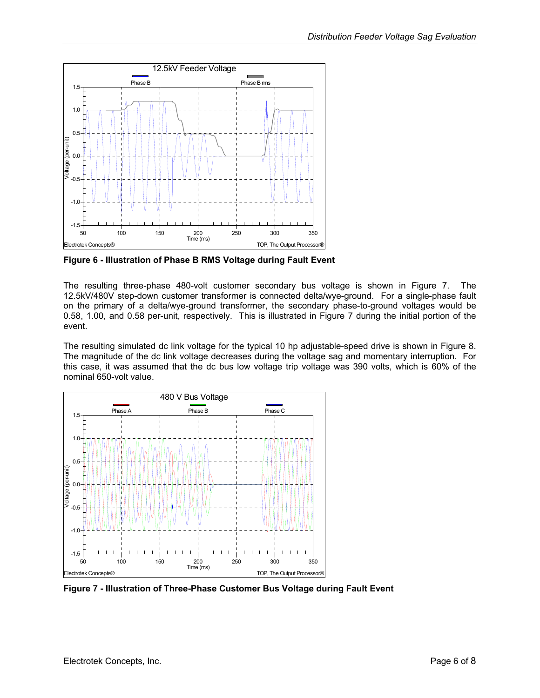<span id="page-5-1"></span><span id="page-5-0"></span>

**Figure 6 - Illustration of Phase B RMS Voltage during Fault Event** 

The resulting three-phase 480-volt customer secondary bus voltage is shown in [Figure 7.](#page-5-2) The 12.5kV/480V step-down customer transformer is connected delta/wye-ground. For a single-phase fault on the primary of a delta/wye-ground transformer, the secondary phase-to-ground voltages would be 0.58, 1.00, and 0.58 per-unit, respectively. This is illustrated in [Figure 7](#page-5-2) during the initial portion of the event.

The resulting simulated dc link voltage for the typical 10 hp adjustable-speed drive is shown in [Figure 8.](#page-6-1) The magnitude of the dc link voltage decreases during the voltage sag and momentary interruption. For this case, it was assumed that the dc bus low voltage trip voltage was 390 volts, which is 60% of the nominal 650-volt value.

<span id="page-5-2"></span>

**Figure 7 - Illustration of Three-Phase Customer Bus Voltage during Fault Event**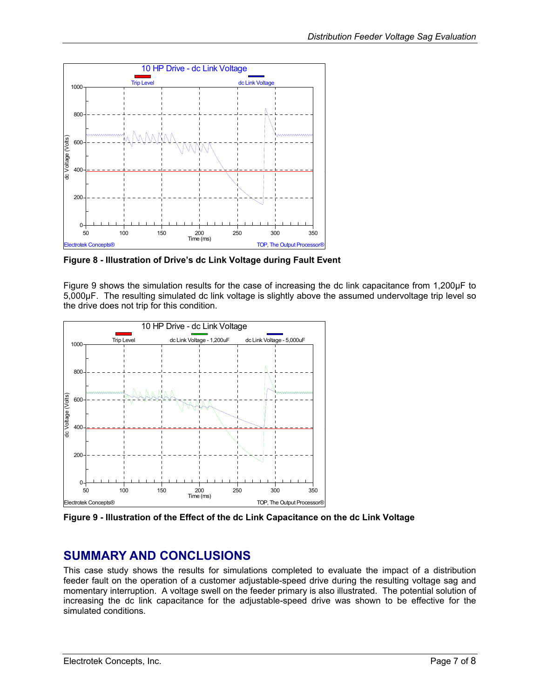<span id="page-6-1"></span><span id="page-6-0"></span>

**Figure 8 - Illustration of Drive's dc Link Voltage during Fault Event** 

[Figure 9](#page-6-2) shows the simulation results for the case of increasing the dc link capacitance from 1,200µF to 5,000µF. The resulting simulated dc link voltage is slightly above the assumed undervoltage trip level so the drive does not trip for this condition.

<span id="page-6-2"></span>

**Figure 9 - Illustration of the Effect of the dc Link Capacitance on the dc Link Voltage** 

#### **SUMMARY AND CONCLUSIONS**

This case study shows the results for simulations completed to evaluate the impact of a distribution feeder fault on the operation of a customer adjustable-speed drive during the resulting voltage sag and momentary interruption. A voltage swell on the feeder primary is also illustrated. The potential solution of increasing the dc link capacitance for the adjustable-speed drive was shown to be effective for the simulated conditions.